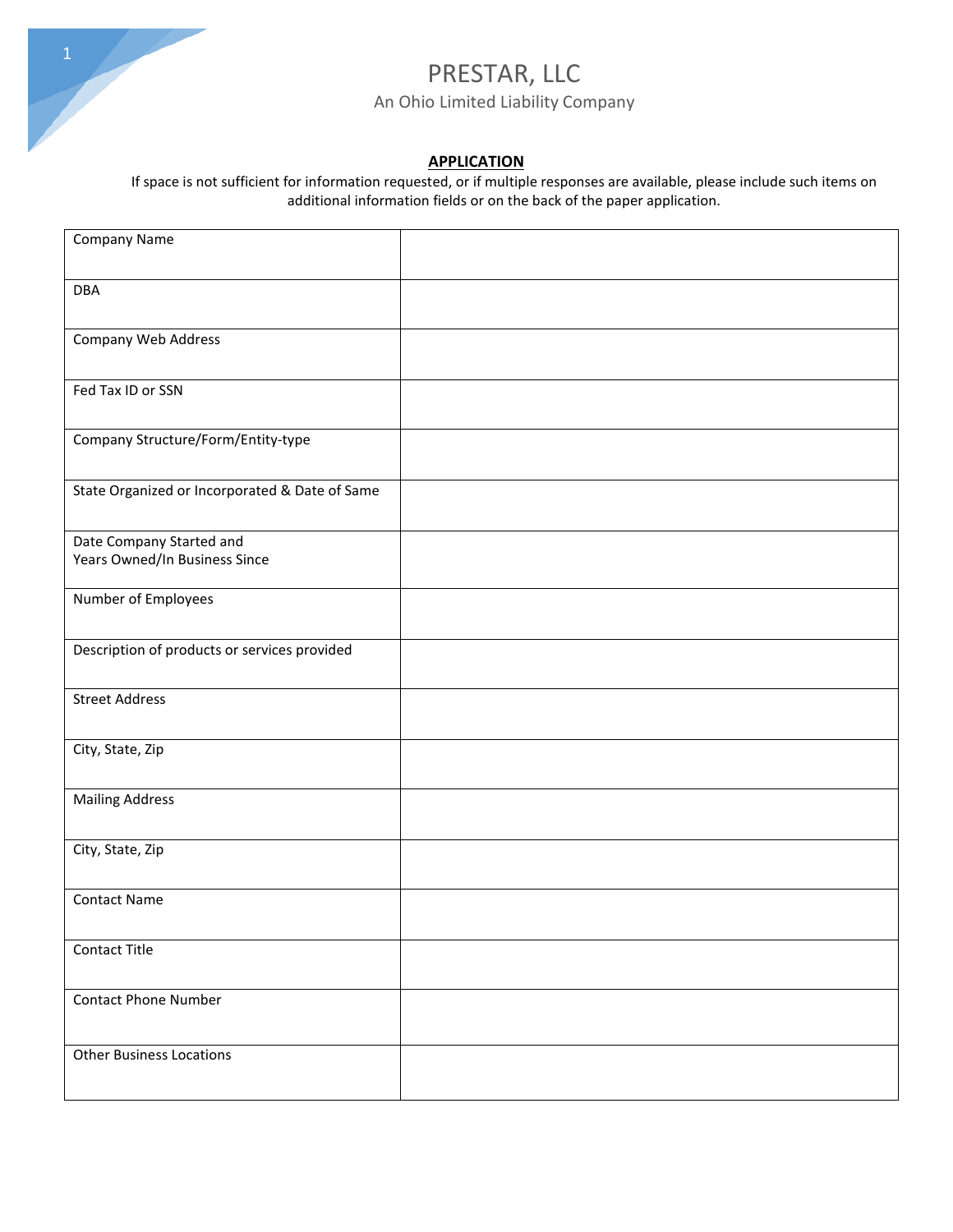

#### **APPLICATION**

If space is not sufficient for information requested, or if multiple responses are available, please include such items on additional information fields or on the back of the paper application.

| Company Name                                              |  |
|-----------------------------------------------------------|--|
|                                                           |  |
| <b>DBA</b>                                                |  |
|                                                           |  |
| Company Web Address                                       |  |
|                                                           |  |
| Fed Tax ID or SSN                                         |  |
|                                                           |  |
| Company Structure/Form/Entity-type                        |  |
|                                                           |  |
| State Organized or Incorporated & Date of Same            |  |
|                                                           |  |
| Date Company Started and<br>Years Owned/In Business Since |  |
|                                                           |  |
| Number of Employees                                       |  |
|                                                           |  |
| Description of products or services provided              |  |
|                                                           |  |
| <b>Street Address</b>                                     |  |
|                                                           |  |
| City, State, Zip                                          |  |
|                                                           |  |
| <b>Mailing Address</b>                                    |  |
|                                                           |  |
| City, State, Zip                                          |  |
|                                                           |  |
| <b>Contact Name</b>                                       |  |
|                                                           |  |
| Contact Title                                             |  |
| <b>Contact Phone Number</b>                               |  |
|                                                           |  |
|                                                           |  |
| <b>Other Business Locations</b>                           |  |
|                                                           |  |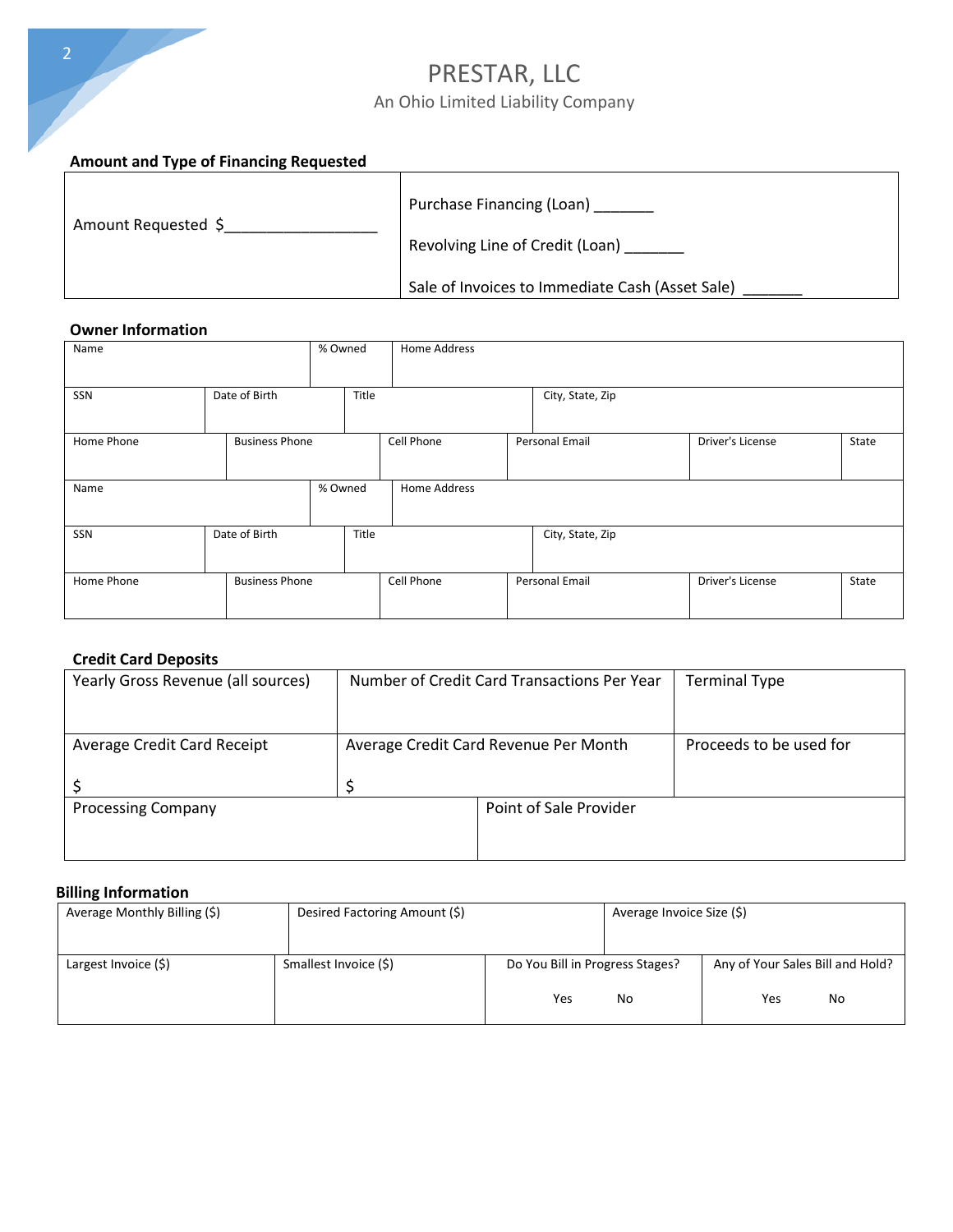# PRESTAR, LLC

### An Ohio Limited Liability Company

### **Amount and Type of Financing Requested**

| Amount Requested \$ | Purchase Financing (Loan)                       |
|---------------------|-------------------------------------------------|
|                     | Revolving Line of Credit (Loan)                 |
|                     | Sale of Invoices to Immediate Cash (Asset Sale) |

#### **Owner Information**

| Name       |                       | % Owned | Home Address |                  |                  |       |
|------------|-----------------------|---------|--------------|------------------|------------------|-------|
| SSN        | Date of Birth         | Title   |              | City, State, Zip |                  |       |
| Home Phone | <b>Business Phone</b> |         | Cell Phone   | Personal Email   | Driver's License | State |
| Name       |                       | % Owned | Home Address |                  |                  |       |
| SSN        | Date of Birth         | Title   |              | City, State, Zip |                  |       |
| Home Phone | <b>Business Phone</b> |         | Cell Phone   | Personal Email   | Driver's License | State |

#### **Credit Card Deposits**

| Yearly Gross Revenue (all sources) | Number of Credit Card Transactions Per Year |                                       | <b>Terminal Type</b>    |
|------------------------------------|---------------------------------------------|---------------------------------------|-------------------------|
|                                    |                                             |                                       |                         |
| Average Credit Card Receipt        |                                             | Average Credit Card Revenue Per Month | Proceeds to be used for |
|                                    |                                             |                                       |                         |
|                                    |                                             |                                       |                         |
| <b>Processing Company</b>          |                                             | Point of Sale Provider                |                         |
|                                    |                                             |                                       |                         |
|                                    |                                             |                                       |                         |

#### **Billing Information**

| Average Monthly Billing (\$) | Desired Factoring Amount (\$) |                                 | Average Invoice Size (\$) |                                  |
|------------------------------|-------------------------------|---------------------------------|---------------------------|----------------------------------|
|                              |                               |                                 |                           |                                  |
| Largest Invoice (\$)         | Smallest Invoice (\$)         | Do You Bill in Progress Stages? |                           | Any of Your Sales Bill and Hold? |
|                              |                               | Yes                             | No                        | Yes<br>No                        |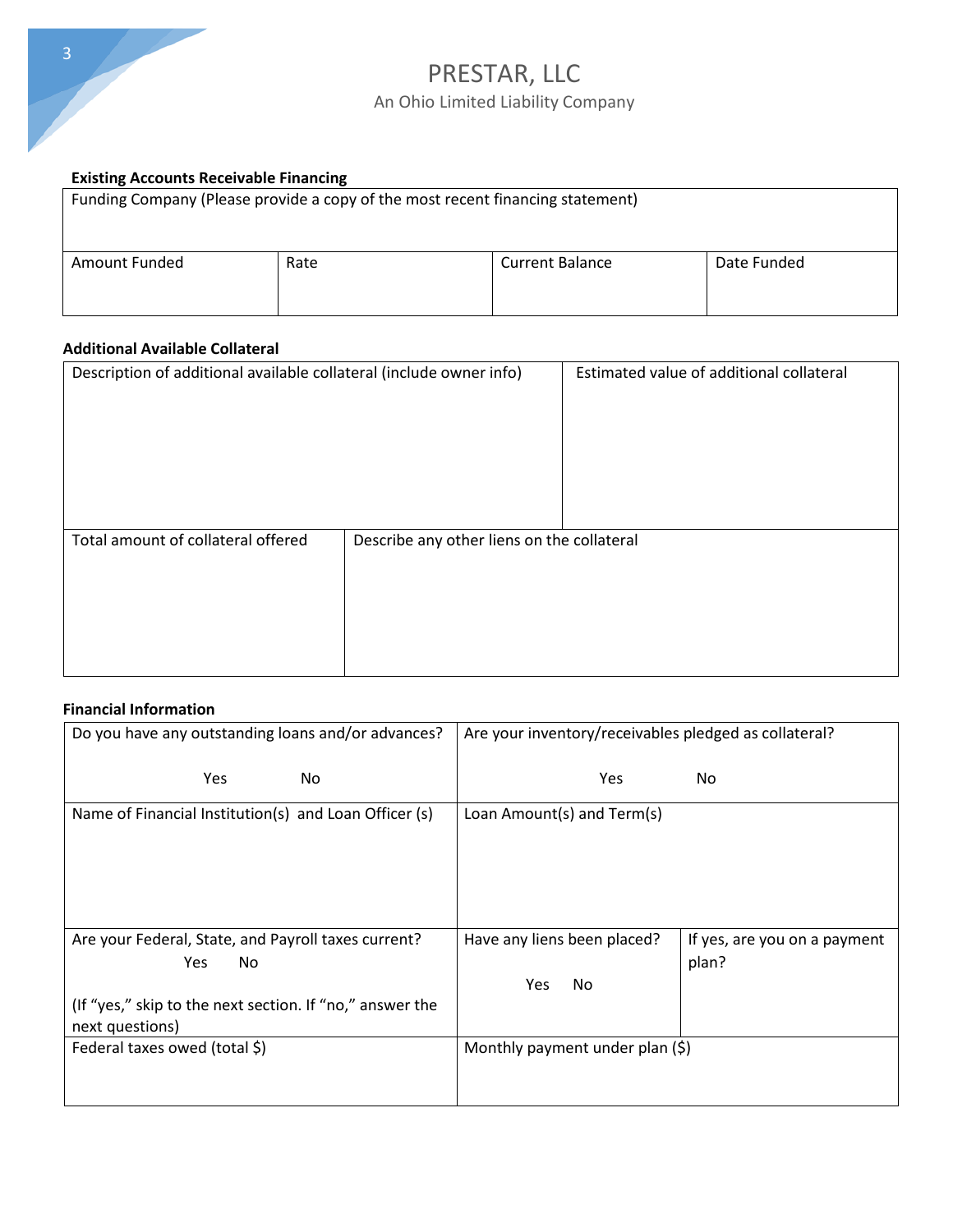

#### **Existing Accounts Receivable Financing**

| Funding Company (Please provide a copy of the most recent financing statement) |      |                        |             |  |  |  |
|--------------------------------------------------------------------------------|------|------------------------|-------------|--|--|--|
| Amount Funded                                                                  | Rate | <b>Current Balance</b> | Date Funded |  |  |  |

#### **Additional Available Collateral**

| Description of additional available collateral (include owner info) |                                            | Estimated value of additional collateral |
|---------------------------------------------------------------------|--------------------------------------------|------------------------------------------|
| Total amount of collateral offered                                  | Describe any other liens on the collateral |                                          |

#### **Financial Information**

| Do you have any outstanding loans and/or advances?                          | Are your inventory/receivables pledged as collateral? |                                       |
|-----------------------------------------------------------------------------|-------------------------------------------------------|---------------------------------------|
| <b>Yes</b><br><b>No</b>                                                     | <b>Yes</b>                                            | No.                                   |
| Name of Financial Institution(s) and Loan Officer (s)                       | Loan Amount(s) and Term(s)                            |                                       |
| Are your Federal, State, and Payroll taxes current?<br>No.<br><b>Yes</b>    | Have any liens been placed?                           | If yes, are you on a payment<br>plan? |
|                                                                             | Yes<br>No                                             |                                       |
| (If "yes," skip to the next section. If "no," answer the<br>next questions) |                                                       |                                       |
| Federal taxes owed (total \$)                                               | Monthly payment under plan $(\xi)$                    |                                       |
|                                                                             |                                                       |                                       |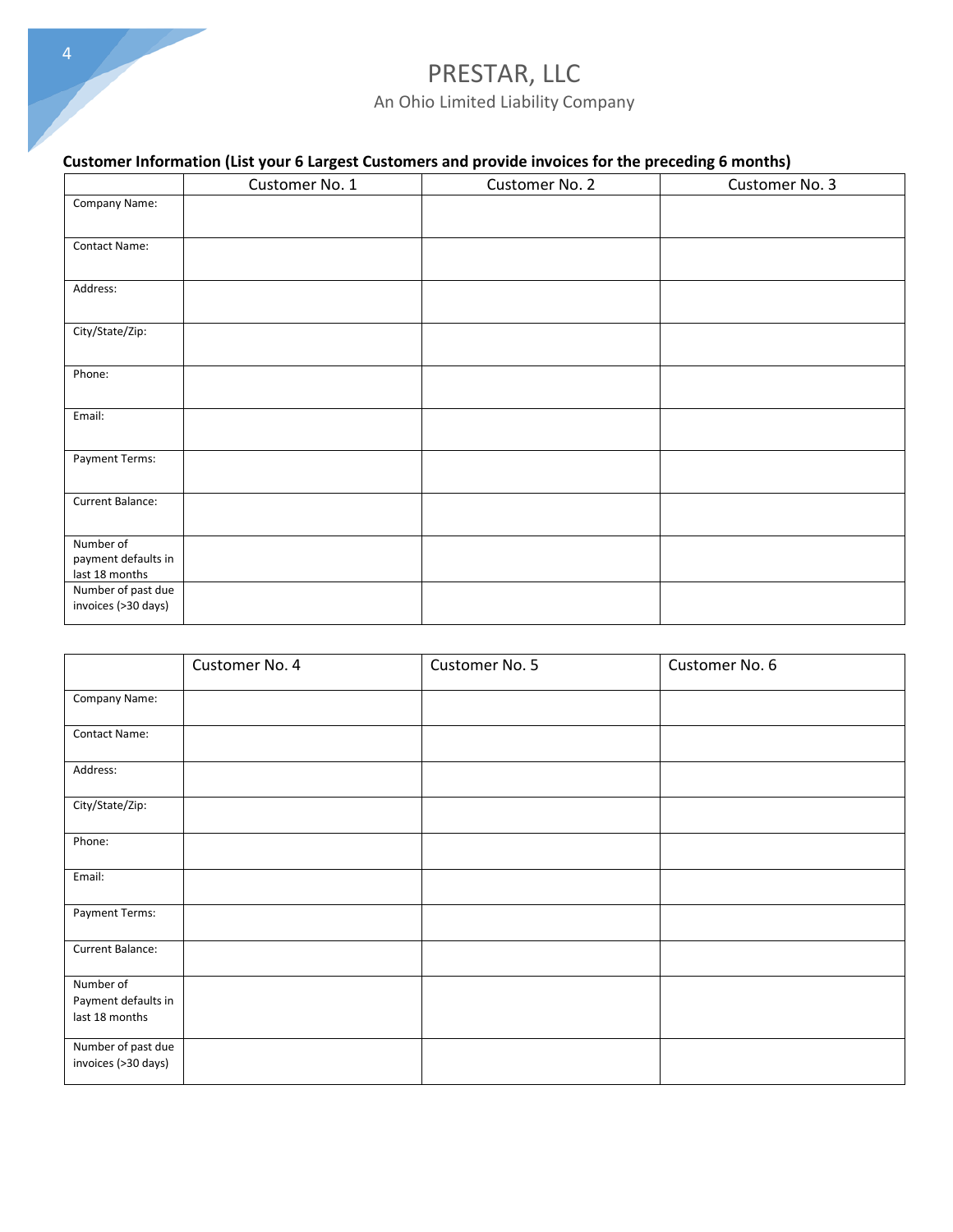### **Customer Information (List your 6 Largest Customers and provide invoices for the preceding 6 months)**

|                                                    | Customer No. 1 | Customer No. 2 | Customer No. 3 |
|----------------------------------------------------|----------------|----------------|----------------|
| Company Name:                                      |                |                |                |
| Contact Name:                                      |                |                |                |
| Address:                                           |                |                |                |
| City/State/Zip:                                    |                |                |                |
| Phone:                                             |                |                |                |
| Email:                                             |                |                |                |
| Payment Terms:                                     |                |                |                |
| Current Balance:                                   |                |                |                |
| Number of<br>payment defaults in<br>last 18 months |                |                |                |
| Number of past due<br>invoices (>30 days)          |                |                |                |

|                                                    | Customer No. 4 | Customer No. 5 | Customer No. 6 |
|----------------------------------------------------|----------------|----------------|----------------|
| Company Name:                                      |                |                |                |
| Contact Name:                                      |                |                |                |
| Address:                                           |                |                |                |
| City/State/Zip:                                    |                |                |                |
| Phone:                                             |                |                |                |
| Email:                                             |                |                |                |
| Payment Terms:                                     |                |                |                |
| Current Balance:                                   |                |                |                |
| Number of<br>Payment defaults in<br>last 18 months |                |                |                |
| Number of past due<br>invoices (>30 days)          |                |                |                |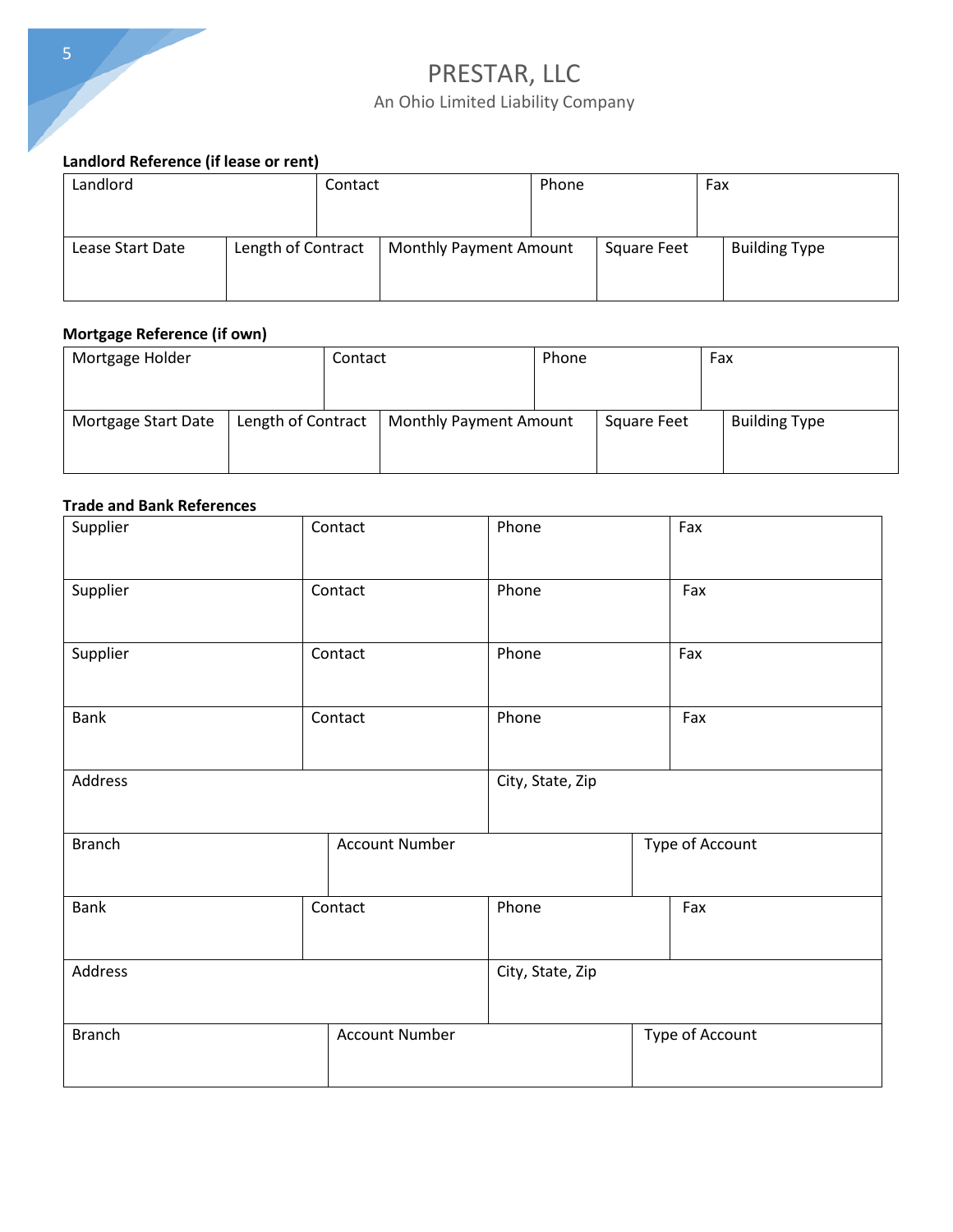

### **Landlord Reference (if lease or rent)**

| Landlord         |                    | Contact |                               | Phone |             | Fax |                      |
|------------------|--------------------|---------|-------------------------------|-------|-------------|-----|----------------------|
| Lease Start Date | Length of Contract |         | <b>Monthly Payment Amount</b> |       | Square Feet |     | <b>Building Type</b> |

#### **Mortgage Reference (if own)**

| Mortgage Holder     |                    | Contact |                               | Phone |                    | Fax                  |
|---------------------|--------------------|---------|-------------------------------|-------|--------------------|----------------------|
|                     |                    |         |                               |       |                    |                      |
| Mortgage Start Date | Length of Contract |         | <b>Monthly Payment Amount</b> |       | <b>Square Feet</b> | <b>Building Type</b> |
|                     |                    |         |                               |       |                    |                      |
|                     |                    |         |                               |       |                    |                      |

#### **Trade and Bank References**

| Supplier      | Contact |                       | Phone |  | Fax             |
|---------------|---------|-----------------------|-------|--|-----------------|
| Supplier      |         | Contact               | Phone |  | Fax             |
| Supplier      | Contact |                       | Phone |  | Fax             |
| <b>Bank</b>   |         | Contact               | Phone |  | Fax             |
| Address       |         | City, State, Zip      |       |  |                 |
| <b>Branch</b> |         | <b>Account Number</b> |       |  | Type of Account |
| <b>Bank</b>   |         | Contact               | Phone |  | Fax             |
| Address       |         | City, State, Zip      |       |  |                 |
| <b>Branch</b> |         | <b>Account Number</b> |       |  | Type of Account |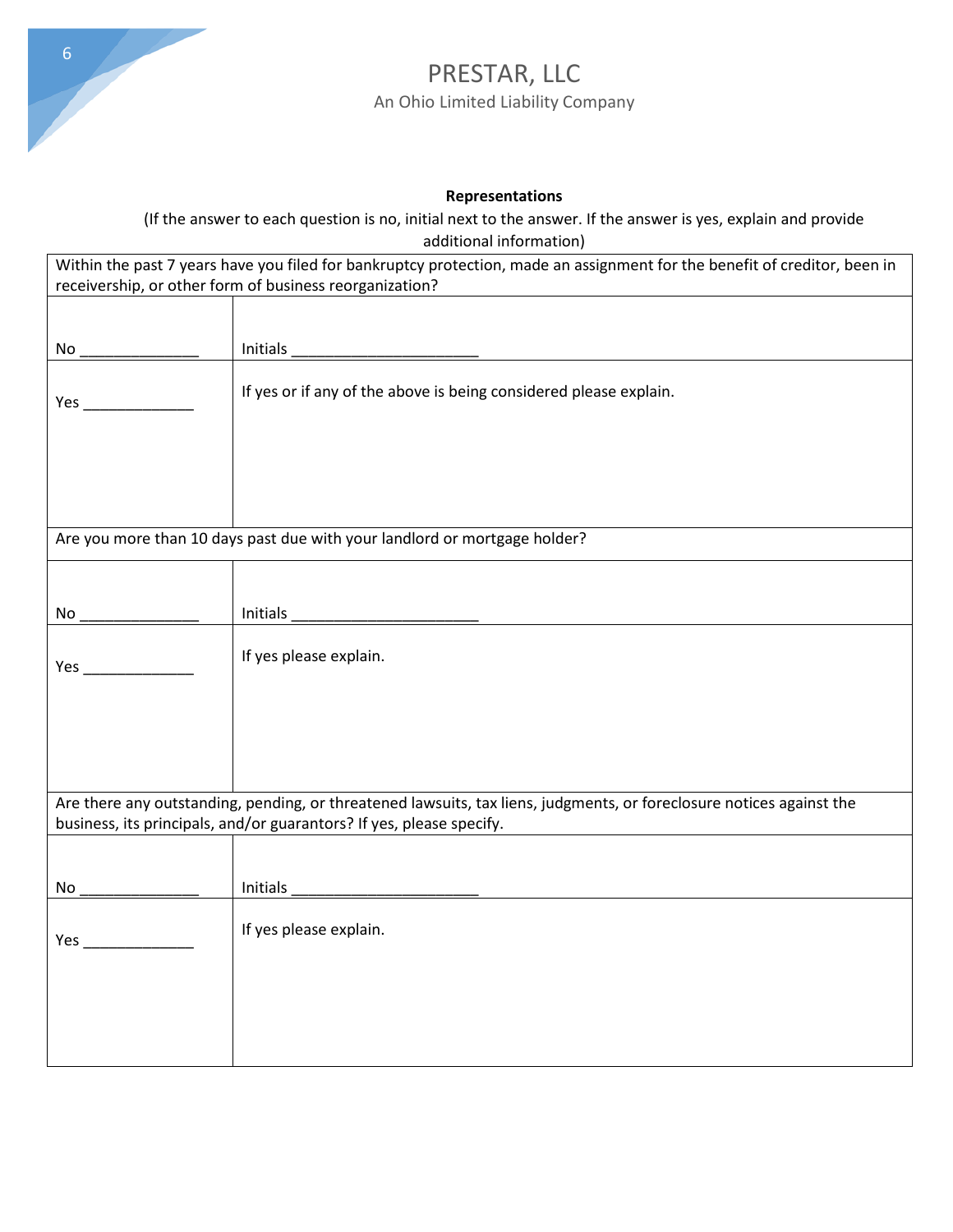

#### **Representations**

(If the answer to each question is no, initial next to the answer. If the answer is yes, explain and provide additional information)

| Within the past 7 years have you filed for bankruptcy protection, made an assignment for the benefit of creditor, been in |                                                                                                                      |  |  |  |  |
|---------------------------------------------------------------------------------------------------------------------------|----------------------------------------------------------------------------------------------------------------------|--|--|--|--|
| receivership, or other form of business reorganization?                                                                   |                                                                                                                      |  |  |  |  |
|                                                                                                                           |                                                                                                                      |  |  |  |  |
|                                                                                                                           |                                                                                                                      |  |  |  |  |
| No                                                                                                                        | Initials                                                                                                             |  |  |  |  |
|                                                                                                                           | If yes or if any of the above is being considered please explain.                                                    |  |  |  |  |
| Yes                                                                                                                       |                                                                                                                      |  |  |  |  |
|                                                                                                                           |                                                                                                                      |  |  |  |  |
|                                                                                                                           |                                                                                                                      |  |  |  |  |
|                                                                                                                           |                                                                                                                      |  |  |  |  |
|                                                                                                                           |                                                                                                                      |  |  |  |  |
|                                                                                                                           |                                                                                                                      |  |  |  |  |
| Are you more than 10 days past due with your landlord or mortgage holder?                                                 |                                                                                                                      |  |  |  |  |
|                                                                                                                           |                                                                                                                      |  |  |  |  |
|                                                                                                                           |                                                                                                                      |  |  |  |  |
| No                                                                                                                        | Initials                                                                                                             |  |  |  |  |
|                                                                                                                           |                                                                                                                      |  |  |  |  |
| Yes __                                                                                                                    | If yes please explain.                                                                                               |  |  |  |  |
|                                                                                                                           |                                                                                                                      |  |  |  |  |
|                                                                                                                           |                                                                                                                      |  |  |  |  |
|                                                                                                                           |                                                                                                                      |  |  |  |  |
|                                                                                                                           |                                                                                                                      |  |  |  |  |
|                                                                                                                           |                                                                                                                      |  |  |  |  |
|                                                                                                                           | Are there any outstanding, pending, or threatened lawsuits, tax liens, judgments, or foreclosure notices against the |  |  |  |  |
|                                                                                                                           | business, its principals, and/or guarantors? If yes, please specify.                                                 |  |  |  |  |
|                                                                                                                           |                                                                                                                      |  |  |  |  |
|                                                                                                                           |                                                                                                                      |  |  |  |  |
| No.                                                                                                                       | Initials                                                                                                             |  |  |  |  |
|                                                                                                                           |                                                                                                                      |  |  |  |  |
| Yes __                                                                                                                    | If yes please explain.                                                                                               |  |  |  |  |
|                                                                                                                           |                                                                                                                      |  |  |  |  |
|                                                                                                                           |                                                                                                                      |  |  |  |  |
|                                                                                                                           |                                                                                                                      |  |  |  |  |
|                                                                                                                           |                                                                                                                      |  |  |  |  |
|                                                                                                                           |                                                                                                                      |  |  |  |  |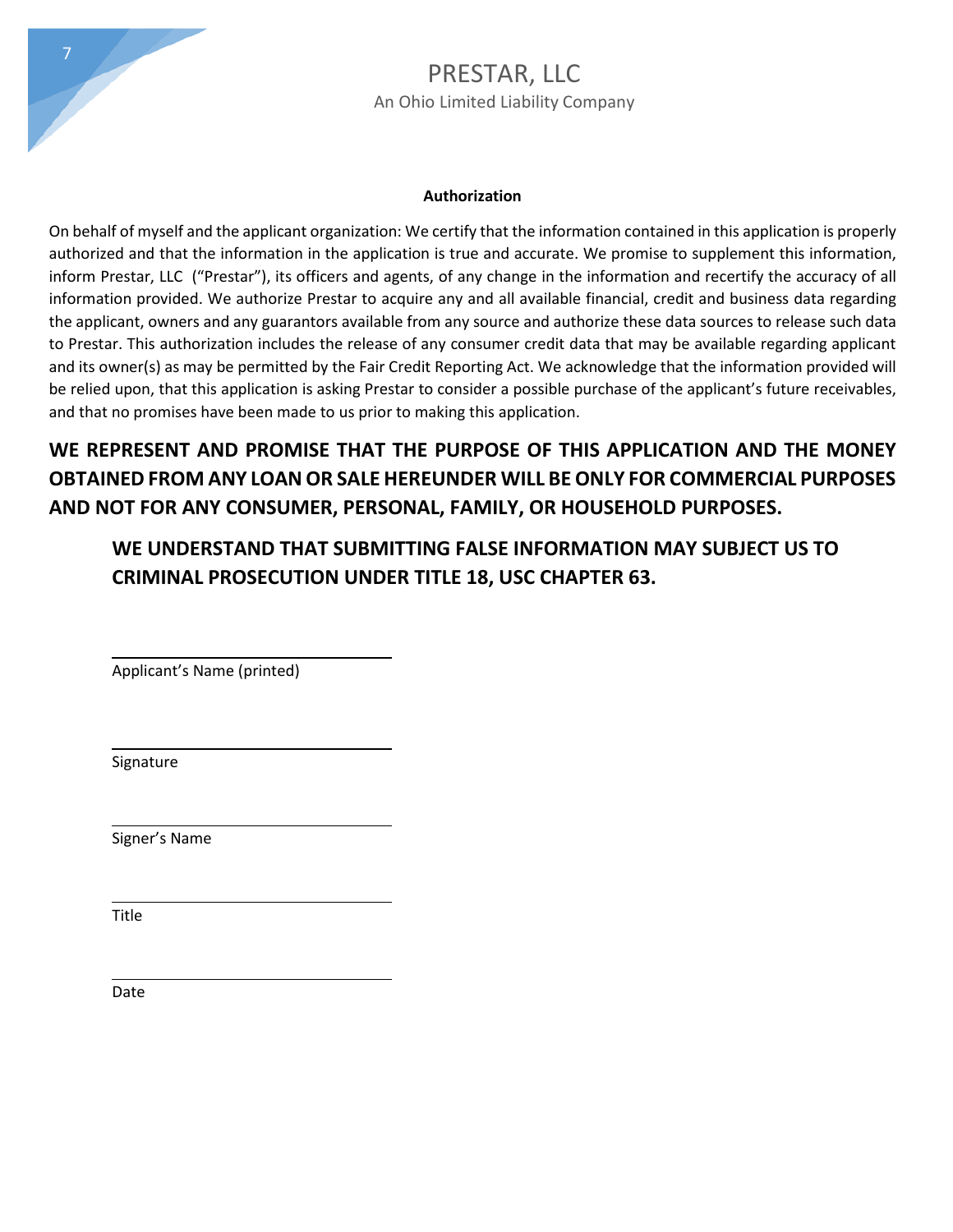

#### **Authorization**

On behalf of myself and the applicant organization: We certify that the information contained in this application is properly authorized and that the information in the application is true and accurate. We promise to supplement this information, inform Prestar, LLC ("Prestar"), its officers and agents, of any change in the information and recertify the accuracy of all information provided. We authorize Prestar to acquire any and all available financial, credit and business data regarding the applicant, owners and any guarantors available from any source and authorize these data sources to release such data to Prestar. This authorization includes the release of any consumer credit data that may be available regarding applicant and its owner(s) as may be permitted by the Fair Credit Reporting Act. We acknowledge that the information provided will be relied upon, that this application is asking Prestar to consider a possible purchase of the applicant's future receivables, and that no promises have been made to us prior to making this application.

**WE REPRESENT AND PROMISE THAT THE PURPOSE OF THIS APPLICATION AND THE MONEY OBTAINED FROM ANY LOAN OR SALE HEREUNDER WILL BE ONLY FOR COMMERCIAL PURPOSES AND NOT FOR ANY CONSUMER, PERSONAL, FAMILY, OR HOUSEHOLD PURPOSES.**

**WE UNDERSTAND THAT SUBMITTING FALSE INFORMATION MAY SUBJECT US TO CRIMINAL PROSECUTION UNDER TITLE 18, USC CHAPTER 63.** 

 $\_$ Applicant's Name (printed)

Signature

L

L

L

L

Signer's Name

Title

Date